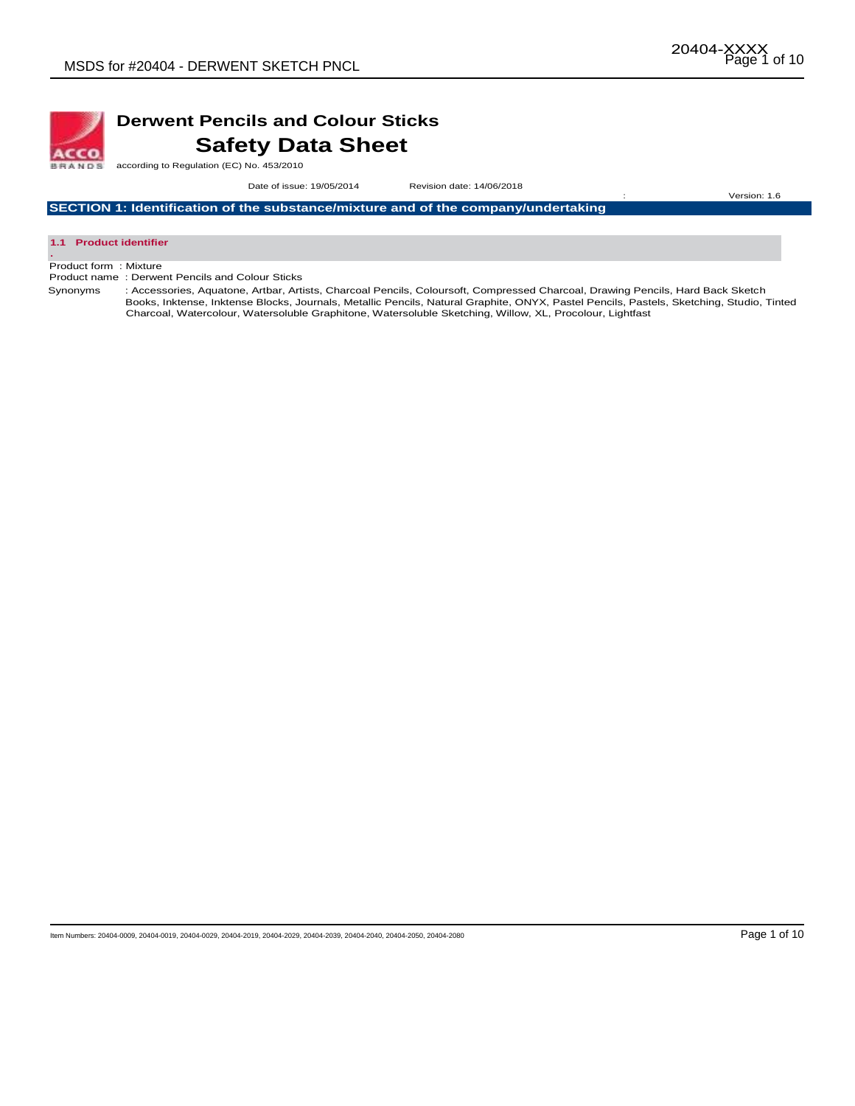

## **Derwent Pencils and Colour Sticks Safety Data Sheet**

according to Regulation (EC) No. 453/2010

 Date of issue: 19/05/2014Revision date: 14/06/2018 : Version: 1.6

**SECTION 1: Identification of the substance/mixture and of the company/undertaking** 



Product form : Mixture

Product name : Derwent Pencils and Colour Sticks

Synonyms : Accessories, Aquatone, Artbar, Artists, Charcoal Pencils, Coloursoft, Compressed Charcoal, Drawing Pencils, Hard Back Sketch Books, Inktense, Inktense Blocks, Journals, Metallic Pencils, Natural Graphite, ONYX, Pastel Pencils, Pastels, Sketching, Studio, Tinted Charcoal, Watercolour, Watersoluble Graphitone, Watersoluble Sketching, Willow, XL, Procolour, Lightfast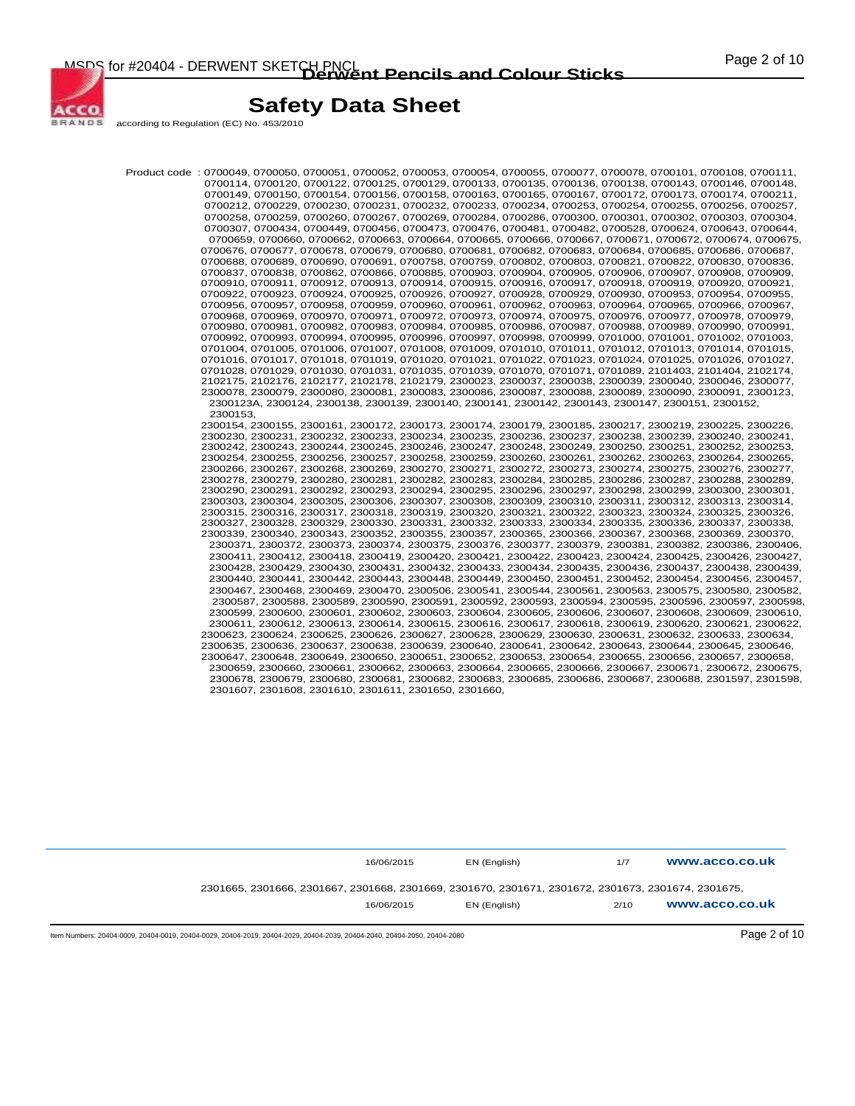

according to Regulation (EC) No. 453/2010

ACCO **BRANDS** 

> Product code : 0700049, 0700050, 0700051, 0700052, 0700053, 0700054, 0700055, 0700077, 0700078, 0700101, 0700108, 0700111, 0700114, 0700120, 0700122, 0700125, 0700129, 0700133, 0700135, 0700136, 0700138, 0700143, 0700146, 0700148, 0700149, 0700150, 0700154, 0700156, 0700158, 0700163, 0700165, 0700167, 0700172, 0700173, 0700174, 0700211, 0700212, 0700229, 0700230, 0700231, 0700232, 0700233, 0700234, 0700253, 0700254, 0700255, 0700256, 0700257, 0700258, 0700259, 0700260, 0700267, 0700269, 0700284, 0700286, 0700300, 0700301, 0700302, 0700303, 0700304, 0700307, 0700434, 0700449, 0700456, 0700473, 0700476, 0700481, 0700482, 0700528, 0700624, 0700643, 0700644, 0700659, 0700660, 0700662, 0700663, 0700664, 0700665, 0700666, 0700667, 0700671, 0700672, 0700674, 0700675, 0700676, 0700677, 0700678, 0700679, 0700680, 0700681, 0700682, 0700683, 0700684, 0700685, 0700686, 0700687, 0700688, 0700689, 0700690, 0700691, 0700758, 0700759, 0700802, 0700803, 0700821, 0700822, 0700830, 0700836, 0700837, 0700838, 0700862, 0700866, 0700885, 0700903, 0700904, 0700905, 0700906, 0700907, 0700908, 0700909, 0700910, 0700911, 0700912, 0700913, 0700914, 0700915, 0700916, 0700917, 0700918, 0700919, 0700920, 0700921, 0700922, 0700923, 0700924, 0700925, 0700926, 0700927, 0700928, 0700929, 0700930, 0700953, 0700954, 0700955, 0700956, 0700957, 0700958, 0700959, 0700960, 0700961, 0700962, 0700963, 0700964, 0700965, 0700966, 0700967, 0700968, 0700969, 0700970, 0700971, 0700972, 0700973, 0700974, 0700975, 0700976, 0700977, 0700978, 0700979, 0700980, 0700981, 0700982, 0700983, 0700984, 0700985, 0700986, 0700987, 0700988, 0700989, 0700990, 0700991, 0700992, 0700993, 0700994, 0700995, 0700996, 0700997, 0700998, 0700999, 0701000, 0701001, 0701002, 0701003, 0701004, 0701005, 0701006, 0701007, 0701008, 0701009, 0701010, 0701011, 0701012, 0701013, 0701014, 0701015, 0701016, 0701017, 0701018, 0701019, 0701020, 0701021, 0701022, 0701023, 0701024, 0701025, 0701026, 0701027, 0701028, 0701029, 0701030, 0701031, 0701035, 0701039, 0701070, 0701071, 0701089, 2101403, 2101404, 2102174, 2102175, 2102176, 2102177, 2102178, 2102179, 2300023, 2300037, 2300038, 2300039, 2300040, 2300046, 2300077, 2300078, 2300079, 2300080, 2300081, 2300083, 2300086, 2300087, 2300088, 2300089, 2300090, 2300091, 2300123, 2300123A, 2300124, 2300138, 2300139, 2300140, 2300141, 2300142, 2300143, 2300147, 2300151, 2300152, 2300153, 2300154, 2300155, 2300161, 2300172, 2300173, 2300174, 2300179, 2300185, 2300217, 2300219, 2300225, 2300226, 2300230, 2300231, 2300232, 2300233, 2300234, 2300235, 2300236, 2300237, 2300238, 2300239, 2300240, 2300241, 2300242, 2300243, 2300244, 2300245, 2300246, 2300247, 2300248, 2300249, 2300250, 2300251, 2300252, 2300253, 2300254, 2300255, 2300256, 2300257, 2300258, 2300259, 2300260, 2300261, 2300262, 2300263, 2300264, 2300265, 2300266, 2300267, 2300268, 2300269, 2300270, 2300271, 2300272, 2300273, 2300274, 2300275, 2300276, 2300277, 2300278, 2300279, 2300280, 2300281, 2300282, 2300283, 2300284, 2300285, 2300286, 2300287, 2300288, 2300289, 2300290, 2300291, 2300292, 2300293, 2300294, 2300295, 2300296, 2300297, 2300298, 2300299, 2300300, 2300301, 2300303, 2300304, 2300305, 2300306, 2300307, 2300308, 2300309, 2300310, 2300311, 2300312, 2300313, 2300314, 2300315, 2300316, 2300317, 2300318, 2300319, 2300320, 2300321, 2300322, 2300323, 2300324, 2300325, 2300326, 2300327, 2300328, 2300329, 2300330, 2300331, 2300332, 2300333, 2300334, 2300335, 2300336, 2300337, 2300338, 2300339, 2300340, 2300343, 2300352, 2300355, 2300357, 2300365, 2300366, 2300367, 2300368, 2300369, 2300370, 2300371, 2300372, 2300373, 2300374, 2300375, 2300376, 2300377, 2300379, 2300381, 2300382, 2300386, 2300406, 2300411, 2300412, 2300418, 2300419, 2300420, 2300421, 2300422, 2300423, 2300424, 2300425, 2300426, 2300427, 2300428, 2300429, 2300430, 2300431, 2300432, 2300433, 2300434, 2300435, 2300436, 2300437, 2300438, 2300439, 2300440, 2300441, 2300442, 2300443, 2300448, 2300449, 2300450, 2300451, 2300452, 2300454, 2300456, 2300457, 2300467, 2300468, 2300469, 2300470, 2300506, 2300541, 2300544, 2300561, 2300563, 2300575, 2300580, 2300582, 2300587, 2300588, 2300589, 2300590, 2300591, 2300592, 2300593, 2300594, 2300595, 2300596, 2300597, 2300598, 2300599, 2300600, 2300601, 2300602, 2300603, 2300604, 2300605, 2300606, 2300607, 2300608, 2300609, 2300610, 2300611, 2300612, 2300613, 2300614, 2300615, 2300616, 2300617, 2300618, 2300619, 2300620, 2300621, 2300622, 2300623, 2300624, 2300625, 2300626, 2300627, 2300628, 2300629, 2300630, 2300631, 2300632, 2300633, 2300634, 2300635, 2300636, 2300637, 2300638, 2300639, 2300640, 2300641, 2300642, 2300643, 2300644, 2300645, 2300646, 2300647, 2300648, 2300649, 2300650, 2300651, 2300652, 2300653, 2300654, 2300655, 2300656, 2300657, 2300658, 2300659, 2300660, 2300661, 2300662, 2300663, 2300664, 2300665, 2300666, 2300667, 2300671, 2300672, 2300675, 2300678, 2300679, 2300680, 2300681, 2300682, 2300683, 2300685, 2300686, 2300687, 2300688, 2301597, 2301598, 2301607, 2301608, 2301610, 2301611, 2301650, 2301660,

| 16/06/2015                                                                                         | EN (English) | 1/7 | www.acco.co.uk |
|----------------------------------------------------------------------------------------------------|--------------|-----|----------------|
| 2301665, 2301666, 2301667, 2301668, 2301669, 2301670, 2301671, 2301672, 2301673, 2301674, 2301675, |              |     |                |
|                                                                                                    |              |     |                |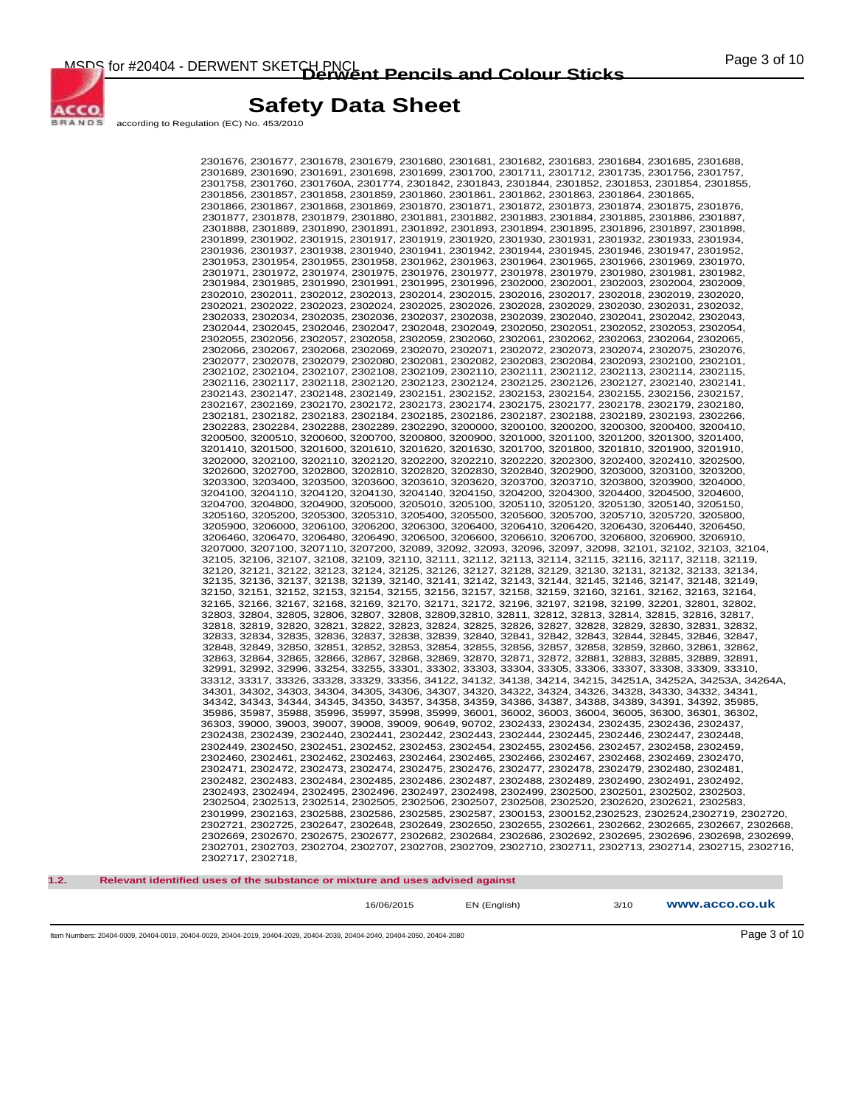MSDS for #20404 - DERWENT SKETCH PNCL<br> **Derwent Pencils and Colour Sticks COLOUR COLOUR** 



## **Safety Data Sheet**

according to Regulation (EC) No. 453/2010

2301676, 2301677, 2301678, 2301679, 2301680, 2301681, 2301682, 2301683, 2301684, 2301685, 2301688, 2301689, 2301690, 2301691, 2301698, 2301699, 2301700, 2301711, 2301712, 2301735, 2301756, 2301757, 2301758, 2301760, 2301760A, 2301774, 2301842, 2301843, 2301844, 2301852, 2301853, 2301854, 2301855, 2301856, 2301857, 2301858, 2301859, 2301860, 2301861, 2301862, 2301863, 2301864, 2301865, 2301866, 2301867, 2301868, 2301869, 2301870, 2301871, 2301872, 2301873, 2301874, 2301875, 2301876, 2301877, 2301878, 2301879, 2301880, 2301881, 2301882, 2301883, 2301884, 2301885, 2301886, 2301887, 2301888, 2301889, 2301890, 2301891, 2301892, 2301893, 2301894, 2301895, 2301896, 2301897, 2301898, 2301899, 2301902, 2301915, 2301917, 2301919, 2301920, 2301930, 2301931, 2301932, 2301933, 2301934, 2301936, 2301937, 2301938, 2301940, 2301941, 2301942, 2301944, 2301945, 2301946, 2301947, 2301952, 2301953, 2301954, 2301955, 2301958, 2301962, 2301963, 2301964, 2301965, 2301966, 2301969, 2301970, 2301971, 2301972, 2301974, 2301975, 2301976, 2301977, 2301978, 2301979, 2301980, 2301981, 2301982, 2301984, 2301985, 2301990, 2301991, 2301995, 2301996, 2302000, 2302001, 2302003, 2302004, 2302009, 2302010, 2302011, 2302012, 2302013, 2302014, 2302015, 2302016, 2302017, 2302018, 2302019, 2302020, 2302021, 2302022, 2302023, 2302024, 2302025, 2302026, 2302028, 2302029, 2302030, 2302031, 2302032, 2302033, 2302034, 2302035, 2302036, 2302037, 2302038, 2302039, 2302040, 2302041, 2302042, 2302043, 2302044, 2302045, 2302046, 2302047, 2302048, 2302049, 2302050, 2302051, 2302052, 2302053, 2302054, 2302055, 2302056, 2302057, 2302058, 2302059, 2302060, 2302061, 2302062, 2302063, 2302064, 2302065, 2302066, 2302067, 2302068, 2302069, 2302070, 2302071, 2302072, 2302073, 2302074, 2302075, 2302076, 2302077, 2302078, 2302079, 2302080, 2302081, 2302082, 2302083, 2302084, 2302093, 2302100, 2302101, 2302102, 2302104, 2302107, 2302108, 2302109, 2302110, 2302111, 2302112, 2302113, 2302114, 2302115, 2302116, 2302117, 2302118, 2302120, 2302123, 2302124, 2302125, 2302126, 2302127, 2302140, 2302141, 2302143, 2302147, 2302148, 2302149, 2302151, 2302152, 2302153, 2302154, 2302155, 2302156, 2302157, 2302167, 2302169, 2302170, 2302172, 2302173, 2302174, 2302175, 2302177, 2302178, 2302179, 2302180, 2302181, 2302182, 2302183, 2302184, 2302185, 2302186, 2302187, 2302188, 2302189, 2302193, 2302266, 2302283, 2302284, 2302288, 2302289, 2302290, 3200000, 3200100, 3200200, 3200300, 3200400, 3200410, 3200500, 3200510, 3200600, 3200700, 3200800, 3200900, 3201000, 3201100, 3201200, 3201300, 3201400, 3201410, 3201500, 3201600, 3201610, 3201620, 3201630, 3201700, 3201800, 3201810, 3201900, 3201910, 3202000, 3202100, 3202110, 3202120, 3202200, 3202210, 3202220, 3202300, 3202400, 3202410, 3202500, 3202600, 3202700, 3202800, 3202810, 3202820, 3202830, 3202840, 3202900, 3203000, 3203100, 3203200, 3203300, 3203400, 3203500, 3203600, 3203610, 3203620, 3203700, 3203710, 3203800, 3203900, 3204000, 3204100, 3204110, 3204120, 3204130, 3204140, 3204150, 3204200, 3204300, 3204400, 3204500, 3204600, 3204700, 3204800, 3204900, 3205000, 3205010, 3205100, 3205110, 3205120, 3205130, 3205140, 3205150, 3205160, 3205200, 3205300, 3205310, 3205400, 3205500, 3205600, 3205700, 3205710, 3205720, 3205800, 3205900, 3206000, 3206100, 3206200, 3206300, 3206400, 3206410, 3206420, 3206430, 3206440, 3206450, 3206460, 3206470, 3206480, 3206490, 3206500, 3206600, 3206610, 3206700, 3206800, 3206900, 3206910, 3207000, 3207100, 3207110, 3207200, 32089, 32092, 32093, 32096, 32097, 32098, 32101, 32102, 32103, 32104, 32105, 32106, 32107, 32108, 32109, 32110, 32111, 32112, 32113, 32114, 32115, 32116, 32117, 32118, 32119, 32120, 32121, 32122, 32123, 32124, 32125, 32126, 32127, 32128, 32129, 32130, 32131, 32132, 32133, 32134, 32135, 32136, 32137, 32138, 32139, 32140, 32141, 32142, 32143, 32144, 32145, 32146, 32147, 32148, 32149, 32150, 32151, 32152, 32153, 32154, 32155, 32156, 32157, 32158, 32159, 32160, 32161, 32162, 32163, 32164, 32165, 32166, 32167, 32168, 32169, 32170, 32171, 32172, 32196, 32197, 32198, 32199, 32201, 32801, 32802, 32803, 32804, 32805, 32806, 32807, 32808, 32809,32810, 32811, 32812, 32813, 32814, 32815, 32816, 32817, 32818, 32819, 32820, 32821, 32822, 32823, 32824, 32825, 32826, 32827, 32828, 32829, 32830, 32831, 32832, 32833, 32834, 32835, 32836, 32837, 32838, 32839, 32840, 32841, 32842, 32843, 32844, 32845, 32846, 32847, 32848, 32849, 32850, 32851, 32852, 32853, 32854, 32855, 32856, 32857, 32858, 32859, 32860, 32861, 32862, 32863, 32864, 32865, 32866, 32867, 32868, 32869, 32870, 32871, 32872, 32881, 32883, 32885, 32889, 32891, 32991, 32992, 32996, 33254, 33255, 33301, 33302, 33303, 33304, 33305, 33306, 33307, 33308, 33309, 33310, 33312, 33317, 33326, 33328, 33329, 33356, 34122, 34132, 34138, 34214, 34215, 34251A, 34252A, 34253A, 34264A, 34301, 34302, 34303, 34304, 34305, 34306, 34307, 34320, 34322, 34324, 34326, 34328, 34330, 34332, 34341, 34342, 34343, 34344, 34345, 34350, 34357, 34358, 34359, 34386, 34387, 34388, 34389, 34391, 34392, 35985, 35986, 35987, 35988, 35996, 35997, 35998, 35999, 36001, 36002, 36003, 36004, 36005, 36300, 36301, 36302, 36303, 39000, 39003, 39007, 39008, 39009, 90649, 90702, 2302433, 2302434, 2302435, 2302436, 2302437, 2302438, 2302439, 2302440, 2302441, 2302442, 2302443, 2302444, 2302445, 2302446, 2302447, 2302448, 2302449, 2302450, 2302451, 2302452, 2302453, 2302454, 2302455, 2302456, 2302457, 2302458, 2302459, 2302460, 2302461, 2302462, 2302463, 2302464, 2302465, 2302466, 2302467, 2302468, 2302469, 2302470, 2302471, 2302472, 2302473, 2302474, 2302475, 2302476, 2302477, 2302478, 2302479, 2302480, 2302481, 2302482, 2302483, 2302484, 2302485, 2302486, 2302487, 2302488, 2302489, 2302490, 2302491, 2302492, 2302493, 2302494, 2302495, 2302496, 2302497, 2302498, 2302499, 2302500, 2302501, 2302502, 2302503, 2302504, 2302513, 2302514, 2302505, 2302506, 2302507, 2302508, 2302520, 2302620, 2302621, 2302583, 2301999, 2302163, 2302588, 2302586, 2302585, 2302587, 2300153, 2300152,2302523, 2302524,2302719, 2302720, 2302721, 2302725, 2302647, 2302648, 2302649, 2302650, 2302655, 2302661, 2302662, 2302665, 2302667, 2302668, 2302669, 2302670, 2302675, 2302677, 2302682, 2302684, 2302686, 2302692, 2302695, 2302696, 2302698, 2302699, 2302701, 2302703, 2302704, 2302707, 2302708, 2302709, 2302710, 2302711, 2302713, 2302714, 2302715, 2302716, 2302717, 2302718,

**1.2. Relevant identified uses of the substance or mixture and uses advised against** 

16/06/2015 EN (English) 3/10 **www.acco.co.uk**

Item Numbers: 20404-0009, 20404-0019, 20404-0029, 20404-2019, 20404-2029, 20404-2039, 20404-2040, 20404-2050, 20404-2080 Page 3 of 10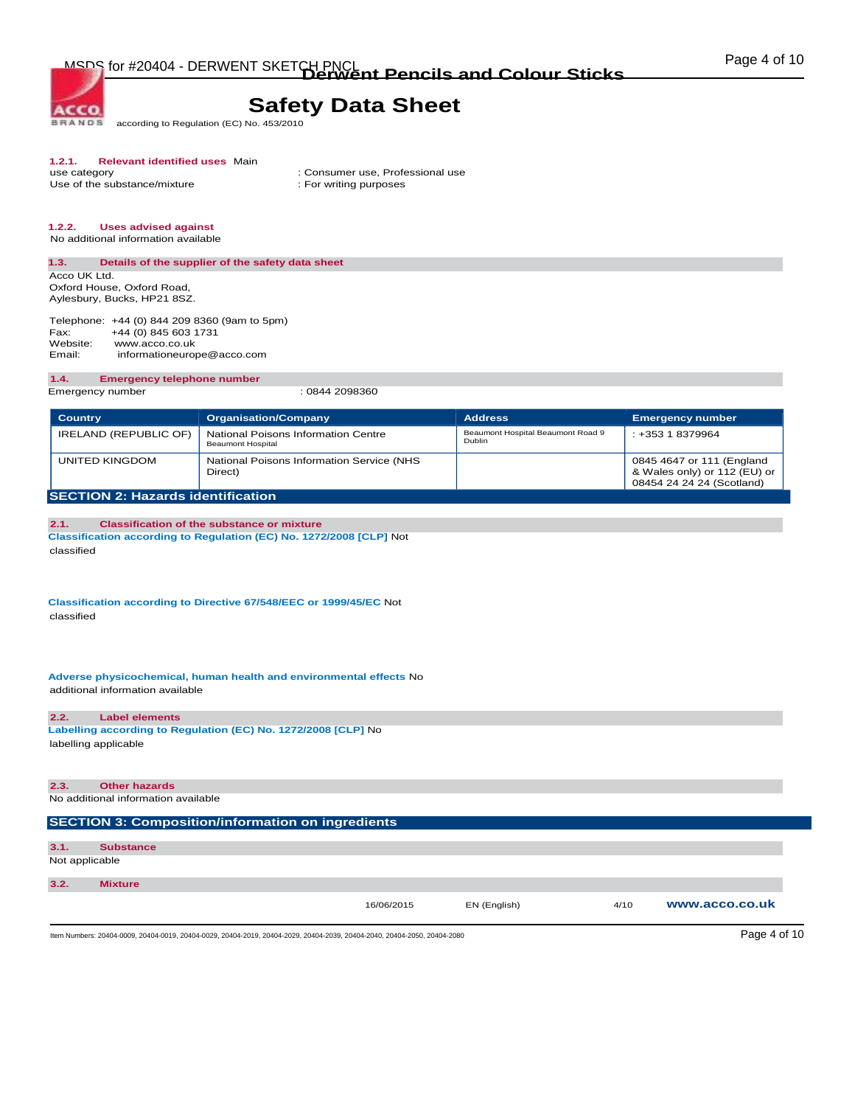**BRANDS** according to Regulation (EC) No. 453/2010

# **1.2.1. Relevant identified uses** Main

Use of the substance/mixture

**ACCO** 

: Consumer use, Professional use : For writing purposes

#### **1.2.2. Uses advised against**

No additional information available

#### **1.3. Details of the supplier of the safety data sheet**  Acco UK Ltd.

Oxford House, Oxford Road, Aylesbury, Bucks, HP21 8SZ.

Telephone: +44 (0) 844 209 8360 (9am to 5pm)<br>Fax: +44 (0) 845 603 1731 Fax: +44 (0) 845 603 1731<br>Website: www.acco.co.uk Website: www.acco.co.uk<br>Email: informationeuror informationeurope@acco.com

#### **1.4. Emergency telephone number**

Emergency number : 0844 2098360

| <b>Country</b>                           | <b>Organisation/Company</b>                              | <b>Address</b>                              | <b>Emergency number</b>                                                                |
|------------------------------------------|----------------------------------------------------------|---------------------------------------------|----------------------------------------------------------------------------------------|
| IRELAND (REPUBLIC OF)                    | National Poisons Information Centre<br>Beaumont Hospital | Beaumont Hospital Beaumont Road 9<br>Dublin | $: +35318379964$                                                                       |
| UNITED KINGDOM                           | National Poisons Information Service (NHS<br>Direct)     |                                             | 0845 4647 or 111 (England<br>& Wales only) or 112 (EU) or<br>08454 24 24 24 (Scotland) |
| <b>SECTION 2: Hazards identification</b> |                                                          |                                             |                                                                                        |

#### **2.1. Classification of the substance or mixture Classification according to Regulation (EC) No. 1272/2008 [CLP]** Not classified

**Classification according to Directive 67/548/EEC or 1999/45/EC** Not classified

**Adverse physicochemical, human health and environmental effects** No additional information available

#### **2.2. Label elements**

**Labelling according to Regulation (EC) No. 1272/2008 [CLP]** No labelling applicable

## **2.3. Other hazards**  No additional information available **SECTION 3: Composition/information on ingredients 3.1. Substance**

Not applicable

#### **3.2. Mixture**

16/06/2015 EN (English) 4/10 **www.acco.co.uk**

Item Numbers: 20404-0009, 20404-0019, 20404-0029, 20404-2019, 20404-2029, 20404-2039, 20404-2040, 20404-2050, 20404-2080 Page 4 of 10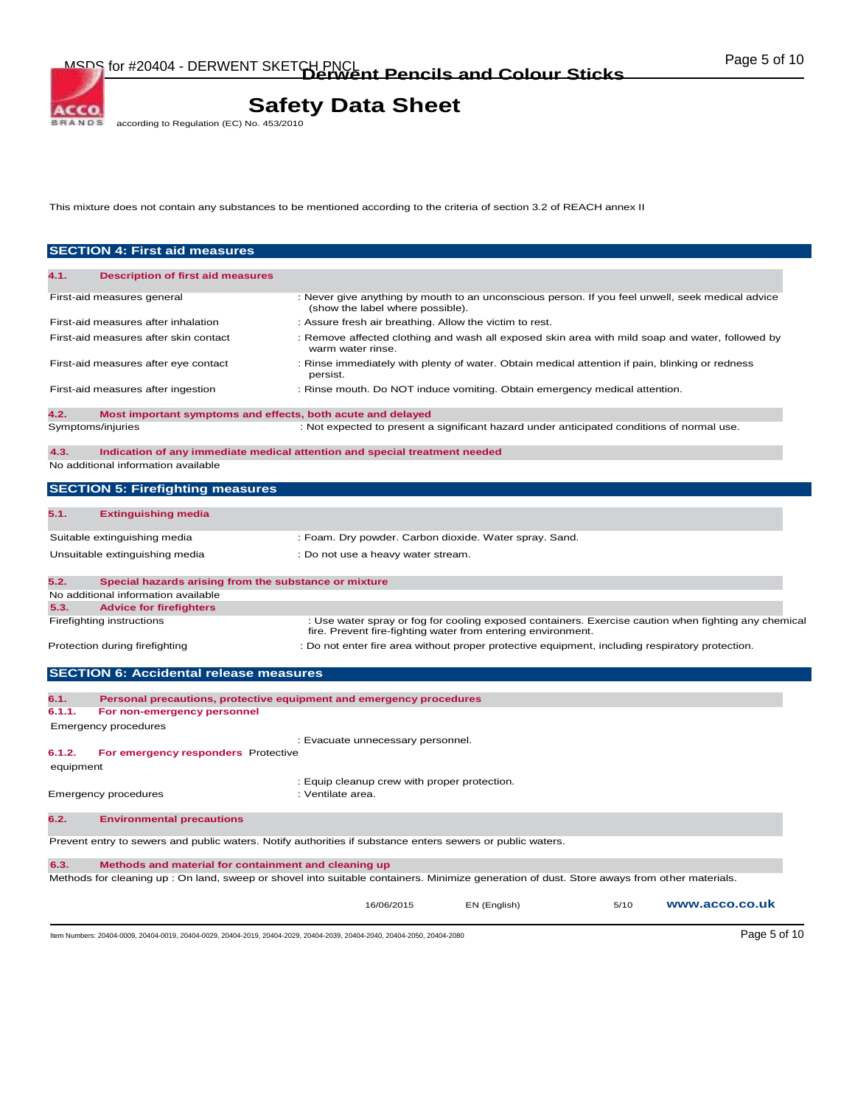# **Safety Data Sheet**<br>according to Regulation (EC) No. 453/2010

This mixture does not contain any substances to be mentioned according to the criteria of section 3.2 of REACH annex II

|                                       | <b>SECTION 4: First aid measures</b>                                                                                                        |                                                                   |                                                                                                  |      |                                                                                                      |
|---------------------------------------|---------------------------------------------------------------------------------------------------------------------------------------------|-------------------------------------------------------------------|--------------------------------------------------------------------------------------------------|------|------------------------------------------------------------------------------------------------------|
| 4.1.                                  | <b>Description of first aid measures</b>                                                                                                    |                                                                   |                                                                                                  |      |                                                                                                      |
| First-aid measures general            |                                                                                                                                             | (show the label where possible).                                  | : Never give anything by mouth to an unconscious person. If you feel unwell, seek medical advice |      |                                                                                                      |
|                                       | First-aid measures after inhalation                                                                                                         | : Assure fresh air breathing. Allow the victim to rest.           |                                                                                                  |      |                                                                                                      |
|                                       | First-aid measures after skin contact                                                                                                       | warm water rinse.                                                 | : Remove affected clothing and wash all exposed skin area with mild soap and water, followed by  |      |                                                                                                      |
|                                       | First-aid measures after eye contact                                                                                                        | persist.                                                          | : Rinse immediately with plenty of water. Obtain medical attention if pain, blinking or redness  |      |                                                                                                      |
|                                       | First-aid measures after ingestion                                                                                                          |                                                                   | : Rinse mouth. Do NOT induce vomiting. Obtain emergency medical attention.                       |      |                                                                                                      |
| 4.2.                                  | Most important symptoms and effects, both acute and delayed                                                                                 |                                                                   |                                                                                                  |      |                                                                                                      |
| Symptoms/injuries                     |                                                                                                                                             |                                                                   | : Not expected to present a significant hazard under anticipated conditions of normal use.       |      |                                                                                                      |
| 4.3.                                  | Indication of any immediate medical attention and special treatment needed<br>No additional information available                           |                                                                   |                                                                                                  |      |                                                                                                      |
|                                       | <b>SECTION 5: Firefighting measures</b>                                                                                                     |                                                                   |                                                                                                  |      |                                                                                                      |
| 5.1.                                  | <b>Extinguishing media</b>                                                                                                                  |                                                                   |                                                                                                  |      |                                                                                                      |
| Suitable extinguishing media          |                                                                                                                                             |                                                                   | : Foam. Dry powder. Carbon dioxide. Water spray. Sand.                                           |      |                                                                                                      |
|                                       | Unsuitable extinguishing media                                                                                                              | : Do not use a heavy water stream.                                |                                                                                                  |      |                                                                                                      |
| 5.2.                                  | Special hazards arising from the substance or mixture<br>No additional information available                                                |                                                                   |                                                                                                  |      |                                                                                                      |
| 5.3.                                  | <b>Advice for firefighters</b>                                                                                                              |                                                                   |                                                                                                  |      |                                                                                                      |
| Firefighting instructions             |                                                                                                                                             |                                                                   | fire. Prevent fire-fighting water from entering environment.                                     |      | : Use water spray or fog for cooling exposed containers. Exercise caution when fighting any chemical |
| Protection during firefighting        |                                                                                                                                             |                                                                   | : Do not enter fire area without proper protective equipment, including respiratory protection.  |      |                                                                                                      |
|                                       | <b>SECTION 6: Accidental release measures</b>                                                                                               |                                                                   |                                                                                                  |      |                                                                                                      |
| 6.1.                                  | Personal precautions, protective equipment and emergency procedures                                                                         |                                                                   |                                                                                                  |      |                                                                                                      |
| 6.1.1.<br><b>Emergency procedures</b> | For non-emergency personnel                                                                                                                 |                                                                   |                                                                                                  |      |                                                                                                      |
| 6.1.2.                                | For emergency responders Protective                                                                                                         | : Evacuate unnecessary personnel.                                 |                                                                                                  |      |                                                                                                      |
| equipment                             |                                                                                                                                             |                                                                   |                                                                                                  |      |                                                                                                      |
| Emergency procedures                  |                                                                                                                                             | : Equip cleanup crew with proper protection.<br>: Ventilate area. |                                                                                                  |      |                                                                                                      |
| 6.2.                                  | <b>Environmental precautions</b>                                                                                                            |                                                                   |                                                                                                  |      |                                                                                                      |
|                                       | Prevent entry to sewers and public waters. Notify authorities if substance enters sewers or public waters.                                  |                                                                   |                                                                                                  |      |                                                                                                      |
| 6.3.                                  | Methods and material for containment and cleaning up                                                                                        |                                                                   |                                                                                                  |      |                                                                                                      |
|                                       | Methods for cleaning up : On land, sweep or shovel into suitable containers. Minimize generation of dust. Store aways from other materials. |                                                                   |                                                                                                  |      |                                                                                                      |
|                                       |                                                                                                                                             | 16/06/2015                                                        | EN (English)                                                                                     | 5/10 | www.acco.co.uk                                                                                       |
|                                       | Item Numbers: 20404-0009, 20404-0019, 20404-0029, 20404-2019, 20404-2029, 20404-2039, 20404-2040, 20404-2050, 20404-2080                    |                                                                   |                                                                                                  |      | Page 5 of 10                                                                                         |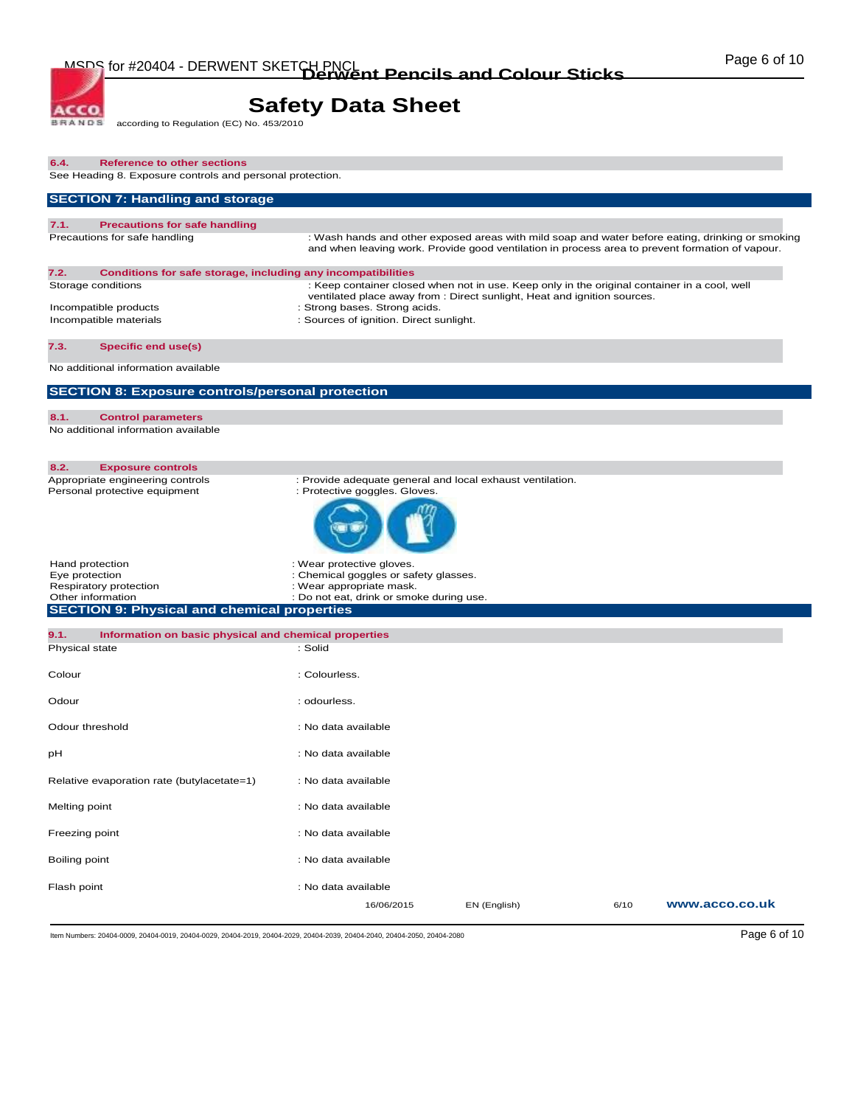# **Safety Data Sheet**<br>according to Regulation (EC) No. 453/2010

| 6.4.<br><b>Reference to other sections</b><br>See Heading 8. Exposure controls and personal protection.             |                                                                                                                                                                                                           |              |      |                |
|---------------------------------------------------------------------------------------------------------------------|-----------------------------------------------------------------------------------------------------------------------------------------------------------------------------------------------------------|--------------|------|----------------|
| <b>SECTION 7: Handling and storage</b>                                                                              |                                                                                                                                                                                                           |              |      |                |
| 7.1.<br><b>Precautions for safe handling</b>                                                                        |                                                                                                                                                                                                           |              |      |                |
| Precautions for safe handling                                                                                       | : Wash hands and other exposed areas with mild soap and water before eating, drinking or smoking<br>and when leaving work. Provide good ventilation in process area to prevent formation of vapour.       |              |      |                |
| 7.2.<br>Conditions for safe storage, including any incompatibilities<br>Storage conditions<br>Incompatible products | : Keep container closed when not in use. Keep only in the original container in a cool, well<br>ventilated place away from : Direct sunlight, Heat and ignition sources.<br>: Strong bases. Strong acids. |              |      |                |
| Incompatible materials                                                                                              | : Sources of ignition. Direct sunlight.                                                                                                                                                                   |              |      |                |
| 7.3.<br><b>Specific end use(s)</b>                                                                                  |                                                                                                                                                                                                           |              |      |                |
| No additional information available                                                                                 |                                                                                                                                                                                                           |              |      |                |
| <b>SECTION 8: Exposure controls/personal protection</b>                                                             |                                                                                                                                                                                                           |              |      |                |
| 8.1.<br><b>Control parameters</b><br>No additional information available                                            |                                                                                                                                                                                                           |              |      |                |
| 8.2.<br><b>Exposure controls</b>                                                                                    |                                                                                                                                                                                                           |              |      |                |
| Appropriate engineering controls<br>Personal protective equipment                                                   | : Provide adequate general and local exhaust ventilation.<br>: Protective goggles. Gloves.                                                                                                                |              |      |                |
| Hand protection<br>Eye protection<br>Respiratory protection<br>Other information                                    | : Wear protective gloves.<br>: Chemical goggles or safety glasses.<br>: Wear appropriate mask.<br>: Do not eat, drink or smoke during use.                                                                |              |      |                |
| <b>SECTION 9: Physical and chemical properties</b>                                                                  |                                                                                                                                                                                                           |              |      |                |
| 9.1.<br>Information on basic physical and chemical properties                                                       |                                                                                                                                                                                                           |              |      |                |
| Physical state                                                                                                      | : Solid                                                                                                                                                                                                   |              |      |                |
| Colour                                                                                                              | : Colourless.                                                                                                                                                                                             |              |      |                |
| Odour                                                                                                               | : odourless.                                                                                                                                                                                              |              |      |                |
| Odour threshold                                                                                                     | : No data available                                                                                                                                                                                       |              |      |                |
| рH                                                                                                                  | : No data available                                                                                                                                                                                       |              |      |                |
| Relative evaporation rate (butylacetate=1)                                                                          | : No data available                                                                                                                                                                                       |              |      |                |
| Melting point                                                                                                       | : No data available                                                                                                                                                                                       |              |      |                |
| Freezing point                                                                                                      | : No data available                                                                                                                                                                                       |              |      |                |
| Boiling point                                                                                                       | : No data available                                                                                                                                                                                       |              |      |                |
| Flash point                                                                                                         | : No data available                                                                                                                                                                                       |              |      |                |
|                                                                                                                     | 16/06/2015                                                                                                                                                                                                | EN (English) | 6/10 | www.acco.co.uk |

Item Numbers: 20404-0009, 20404-0019, 20404-0029, 20404-2019, 20404-2029, 20404-2039, 20404-2040, 20404-2050, 20404-2080 Page 6 of 10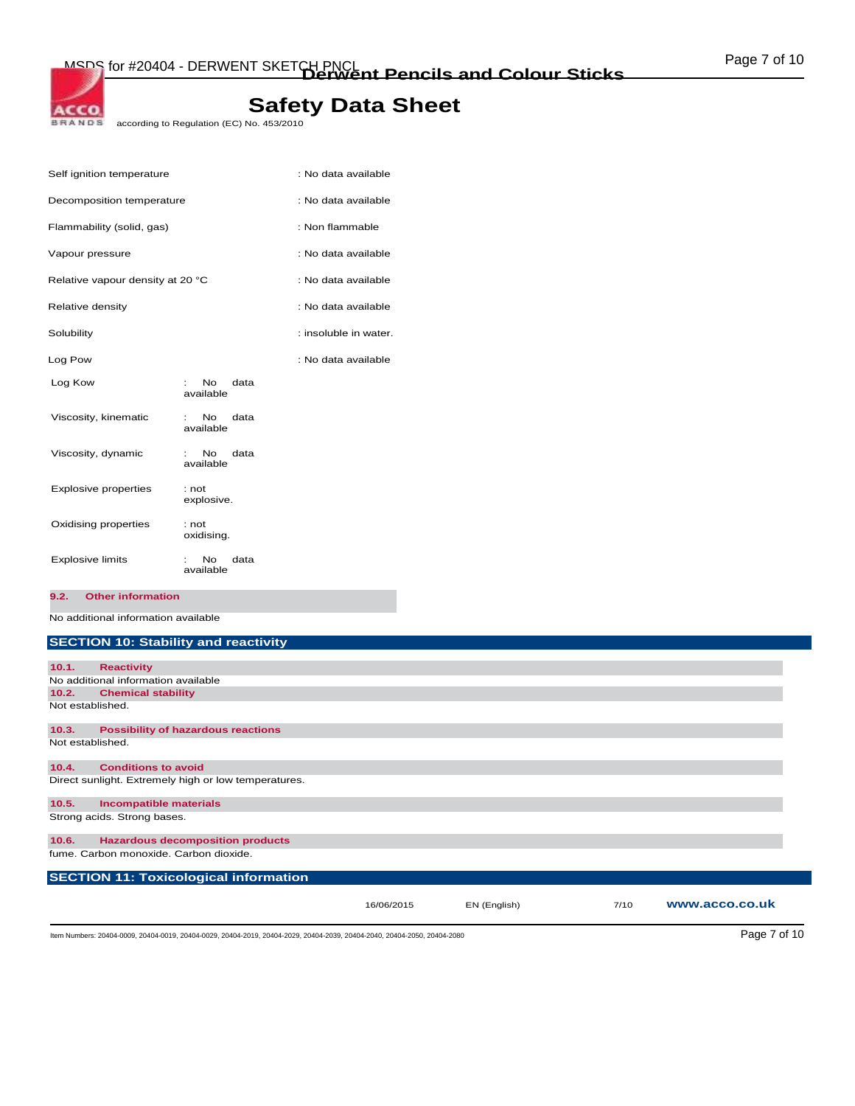# ACCO.

# **Safety Data Sheet**

BRANDS according to Regulation (EC) No. 453/2010

| Self ignition temperature        |                                       | : No data available   |
|----------------------------------|---------------------------------------|-----------------------|
| Decomposition temperature        |                                       | : No data available   |
| Flammability (solid, gas)        |                                       | : Non flammable       |
| Vapour pressure                  |                                       | : No data available   |
| Relative vapour density at 20 °C |                                       | : No data available   |
| Relative density                 |                                       | : No data available   |
| Solubility                       |                                       | : insoluble in water. |
| Log Pow                          |                                       | : No data available   |
| Log Kow                          | <b>No</b><br>data<br>t i<br>available |                       |
| Viscosity, kinematic             | No.<br>data<br>available              |                       |
| Viscosity, dynamic               | data<br>No.<br>available              |                       |
| <b>Explosive properties</b>      | : not<br>explosive.                   |                       |
| Oxidising properties             | : not<br>oxidising.                   |                       |
| <b>Explosive limits</b>          | No.<br>data<br>available              |                       |

**9.2. Other information** 

No additional information available

#### **SECTION 10: Stability and reactivity**

| 10.1.            | <b>Reactivity</b>                                    |            |              |      |                |  |
|------------------|------------------------------------------------------|------------|--------------|------|----------------|--|
|                  | No additional information available                  |            |              |      |                |  |
| 10.2.            | <b>Chemical stability</b>                            |            |              |      |                |  |
| Not established. |                                                      |            |              |      |                |  |
| 10.3.            | <b>Possibility of hazardous reactions</b>            |            |              |      |                |  |
| Not established. |                                                      |            |              |      |                |  |
| 10.4.            | <b>Conditions to avoid</b>                           |            |              |      |                |  |
|                  | Direct sunlight. Extremely high or low temperatures. |            |              |      |                |  |
| 10.5.            | <b>Incompatible materials</b>                        |            |              |      |                |  |
|                  | Strong acids. Strong bases.                          |            |              |      |                |  |
| 10.6.            | <b>Hazardous decomposition products</b>              |            |              |      |                |  |
|                  | fume. Carbon monoxide. Carbon dioxide.               |            |              |      |                |  |
|                  | <b>SECTION 11: Toxicological information</b>         |            |              |      |                |  |
|                  |                                                      | 16/06/2015 | EN (English) | 7/10 | www.acco.co.uk |  |

Item Numbers: 20404-0009, 20404-0019, 20404-0029, 20404-2019, 20404-2029, 20404-2039, 20404-2040, 20404-2050, 20404-2080 Page 7 of 10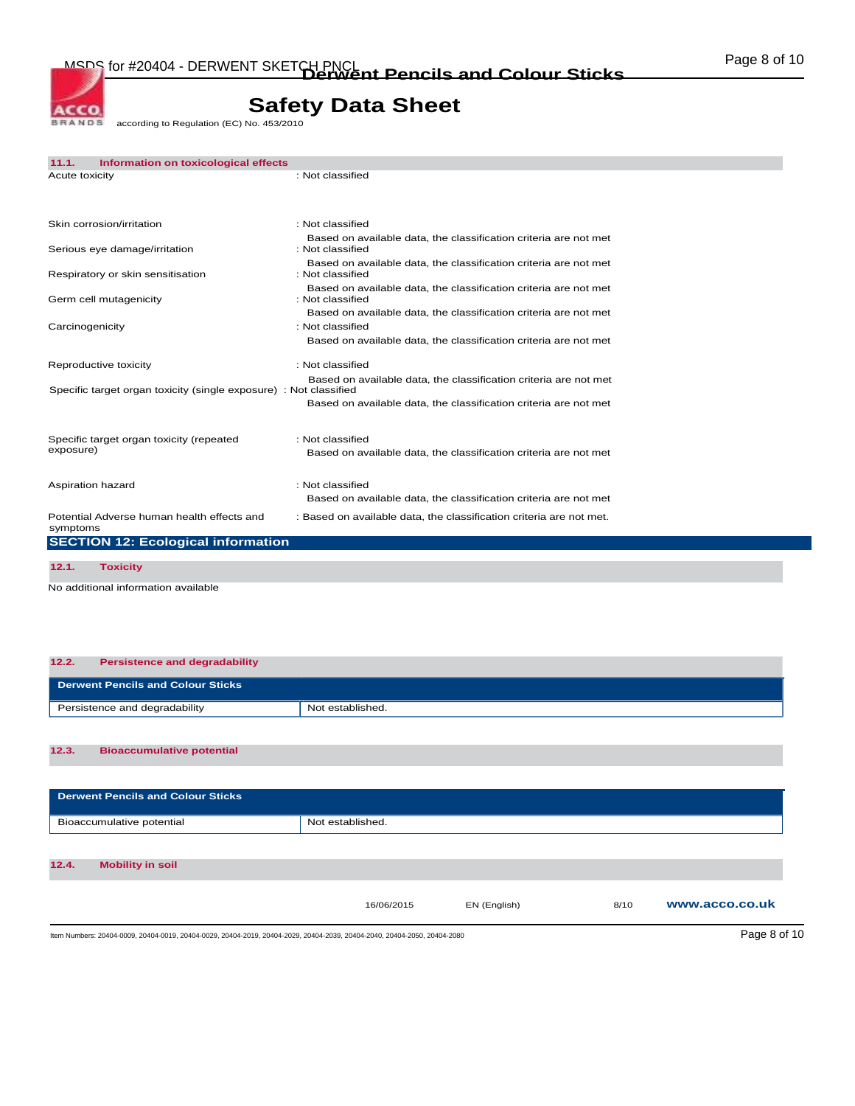BRANDE according to Regulation (EC) No. 453/2010

ACCO.

| 11.1.                                                             | Information on toxicological effects |                                                                                      |
|-------------------------------------------------------------------|--------------------------------------|--------------------------------------------------------------------------------------|
| Acute toxicity                                                    |                                      | : Not classified                                                                     |
| Skin corrosion/irritation                                         |                                      | : Not classified                                                                     |
| Serious eye damage/irritation                                     |                                      | Based on available data, the classification criteria are not met<br>: Not classified |
| Respiratory or skin sensitisation                                 |                                      | Based on available data, the classification criteria are not met<br>: Not classified |
| Germ cell mutagenicity                                            |                                      | Based on available data, the classification criteria are not met<br>: Not classified |
| Carcinogenicity                                                   |                                      | Based on available data, the classification criteria are not met<br>: Not classified |
|                                                                   |                                      | Based on available data, the classification criteria are not met                     |
| Reproductive toxicity                                             |                                      | : Not classified<br>Based on available data, the classification criteria are not met |
| Specific target organ toxicity (single exposure) : Not classified |                                      | Based on available data, the classification criteria are not met                     |
| Specific target organ toxicity (repeated                          |                                      | : Not classified                                                                     |
| exposure)                                                         |                                      | Based on available data, the classification criteria are not met                     |
| Aspiration hazard                                                 |                                      | : Not classified<br>Based on available data, the classification criteria are not met |
| Potential Adverse human health effects and<br>symptoms            |                                      | : Based on available data, the classification criteria are not met.                  |
| <b>SECTION 12: Ecological information</b>                         |                                      |                                                                                      |
| 12.1.<br><b>Toxicity</b>                                          |                                      |                                                                                      |

No additional information available

| 12.2. | <b>Persistence and degradability</b>     |                  |
|-------|------------------------------------------|------------------|
|       | <b>Derwent Pencils and Colour Sticks</b> |                  |
|       | Persistence and degradability            | Not established. |
|       |                                          |                  |
| 12.3. | <b>Bioaccumulative potential</b>         |                  |

| <b>Derwent Pencils and Colour Sticks</b>                                                                                 |                  |              |      |                |
|--------------------------------------------------------------------------------------------------------------------------|------------------|--------------|------|----------------|
| Bioaccumulative potential                                                                                                | Not established. |              |      |                |
|                                                                                                                          |                  |              |      |                |
| 12.4.<br><b>Mobility in soil</b>                                                                                         |                  |              |      |                |
|                                                                                                                          | 16/06/2015       | EN (English) | 8/10 | www.acco.co.uk |
| Item Numbers: 20404-0009, 20404-0019, 20404-0029, 20404-2019, 20404-2029, 20404-2039, 20404-2040, 20404-2050, 20404-2080 |                  |              |      | Page 8 of 10   |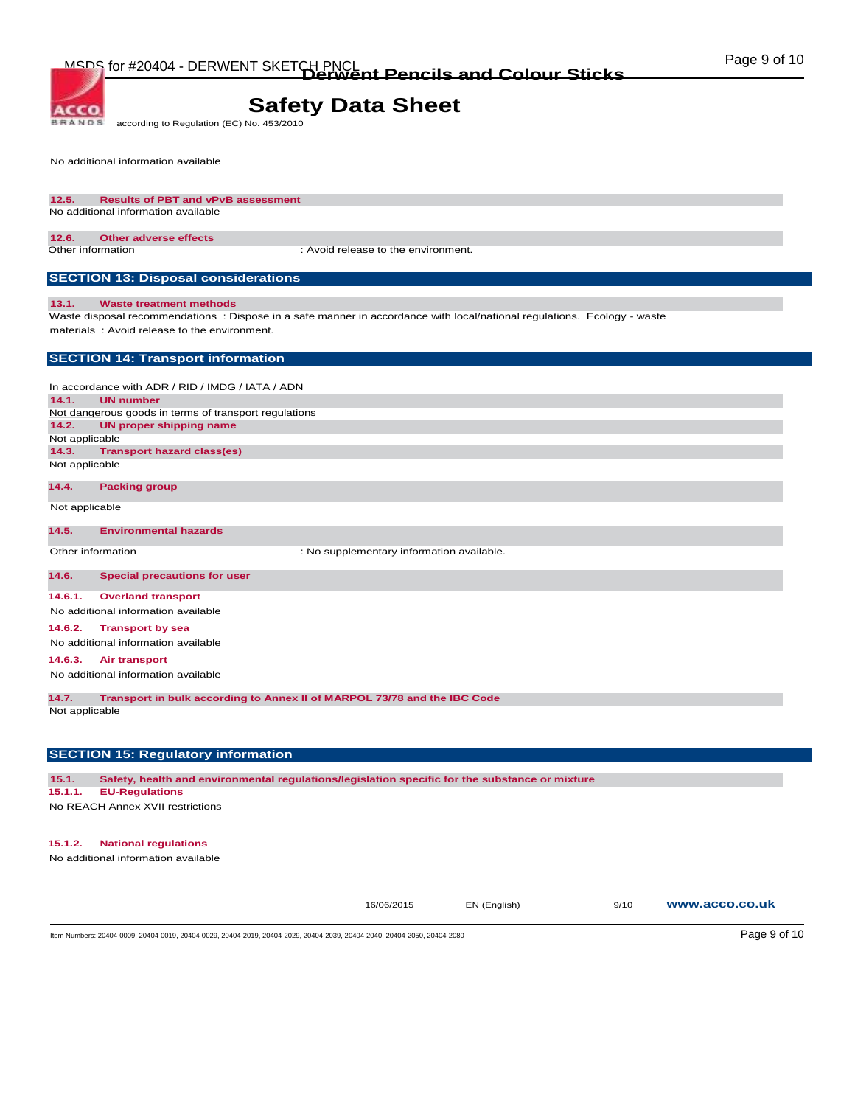**BRANDS** according to Regulation (EC) No. 453/2010

No additional information available

**ACCO** 

#### **12.5. Results of PBT and vPvB assessment**  No additional information available

#### **12.6. Other adverse effects**

Other information : Avoid release to the environment.

#### **SECTION 13: Disposal considerations**

#### **13.1. Waste treatment methods**

Waste disposal recommendations : Dispose in a safe manner in accordance with local/national regulations. Ecology - waste materials : Avoid release to the environment.

#### **SECTION 14: Transport information**

In accordance with ADR / RID / IMDG / IATA / ADN **14.1. UN number**  Not dangerous goods in terms of transport regulations **14.2. UN proper shipping name**  Not applicable **14.3. Transport hazard class(es)**  Not applicable

#### **14.4. Packing group**

Not applicable

#### **14.5. Environmental hazards**

Other information  $\qquad \qquad :$  No supplementary information available.

#### **14.6. Special precautions for user**

**14.6.1. Overland transport** 

#### No additional information available

**14.6.2. Transport by sea** 

No additional information available

#### **14.6.3. Air transport**

No additional information available

**14.7. Transport in bulk according to Annex II of MARPOL 73/78 and the IBC Code** 

Not applicable

#### **SECTION 15: Regulatory information**

**15.1. Safety, health and environmental regulations/legislation specific for the substance or mixture** 

#### **15.1.1. EU-Regulations**

No REACH Annex XVII restrictions

#### **15.1.2. National regulations**

No additional information available

16/06/2015 EN (English) 9/10 **www.acco.co.uk**

Item Numbers: 20404-0009, 20404-0019, 20404-0029, 20404-2019, 20404-2029, 20404-2039, 20404-2040, 20404-2050, 20404-2080 Page 9 of 10